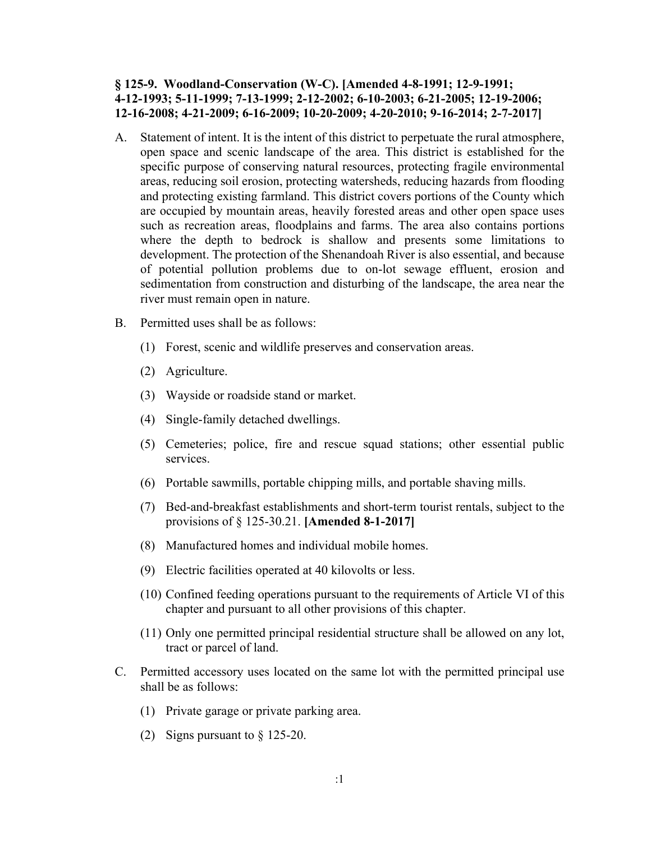## **§ 125-9. Woodland-Conservation (W-C). [Amended 4-8-1991; 12-9-1991; 4-12-1993; 5-11-1999; 7-13-1999; 2-12-2002; 6-10-2003; 6-21-2005; 12-19-2006; 12-16-2008; 4-21-2009; 6-16-2009; 10-20-2009; 4-20-2010; 9-16-2014; 2-7-2017]**

- A. Statement of intent. It is the intent of this district to perpetuate the rural atmosphere, open space and scenic landscape of the area. This district is established for the specific purpose of conserving natural resources, protecting fragile environmental areas, reducing soil erosion, protecting watersheds, reducing hazards from flooding and protecting existing farmland. This district covers portions of the County which are occupied by mountain areas, heavily forested areas and other open space uses such as recreation areas, floodplains and farms. The area also contains portions where the depth to bedrock is shallow and presents some limitations to development. The protection of the Shenandoah River is also essential, and because of potential pollution problems due to on-lot sewage effluent, erosion and sedimentation from construction and disturbing of the landscape, the area near the river must remain open in nature.
- B. Permitted uses shall be as follows:
	- (1) Forest, scenic and wildlife preserves and conservation areas.
	- (2) Agriculture.
	- (3) Wayside or roadside stand or market.
	- (4) Single-family detached dwellings.
	- (5) Cemeteries; police, fire and rescue squad stations; other essential public services.
	- (6) Portable sawmills, portable chipping mills, and portable shaving mills.
	- (7) Bed-and-breakfast establishments and short-term tourist rentals, subject to the provisions of § 125-30.21. **[Amended 8-1-2017]**
	- (8) Manufactured homes and individual mobile homes.
	- (9) Electric facilities operated at 40 kilovolts or less.
	- (10) Confined feeding operations pursuant to the requirements of Article VI of this chapter and pursuant to all other provisions of this chapter.
	- (11) Only one permitted principal residential structure shall be allowed on any lot, tract or parcel of land.
- C. Permitted accessory uses located on the same lot with the permitted principal use shall be as follows:
	- (1) Private garage or private parking area.
	- (2) Signs pursuant to § 125-20.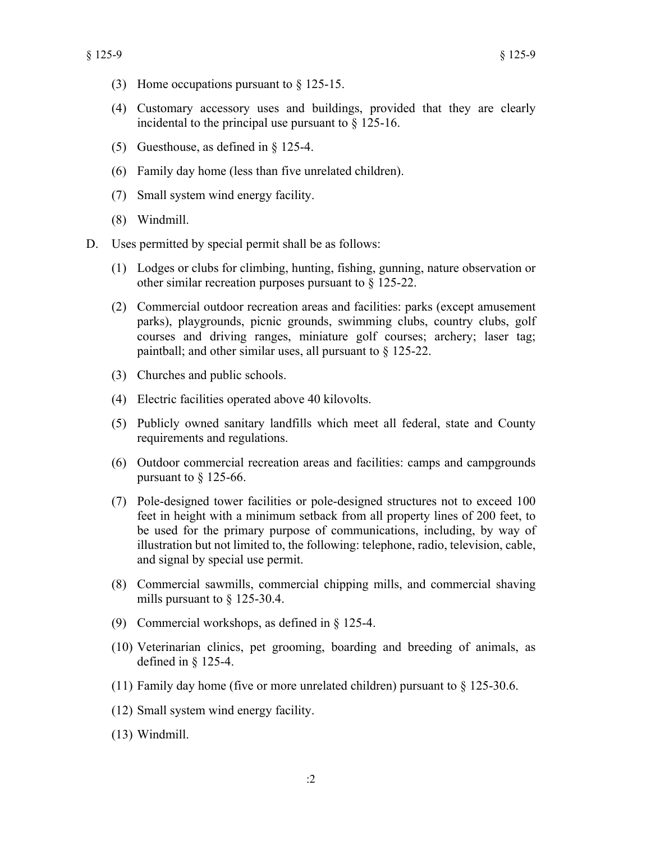- (3) Home occupations pursuant to § 125-15.
- (4) Customary accessory uses and buildings, provided that they are clearly incidental to the principal use pursuant to § 125-16.
- (5) Guesthouse, as defined in § 125-4.
- (6) Family day home (less than five unrelated children).
- (7) Small system wind energy facility.
- (8) Windmill.
- D. Uses permitted by special permit shall be as follows:
	- (1) Lodges or clubs for climbing, hunting, fishing, gunning, nature observation or other similar recreation purposes pursuant to § 125-22.
	- (2) Commercial outdoor recreation areas and facilities: parks (except amusement parks), playgrounds, picnic grounds, swimming clubs, country clubs, golf courses and driving ranges, miniature golf courses; archery; laser tag; paintball; and other similar uses, all pursuant to § 125-22.
	- (3) Churches and public schools.
	- (4) Electric facilities operated above 40 kilovolts.
	- (5) Publicly owned sanitary landfills which meet all federal, state and County requirements and regulations.
	- (6) Outdoor commercial recreation areas and facilities: camps and campgrounds pursuant to § 125-66.
	- (7) Pole-designed tower facilities or pole-designed structures not to exceed 100 feet in height with a minimum setback from all property lines of 200 feet, to be used for the primary purpose of communications, including, by way of illustration but not limited to, the following: telephone, radio, television, cable, and signal by special use permit.
	- (8) Commercial sawmills, commercial chipping mills, and commercial shaving mills pursuant to  $\S$  125-30.4.
	- (9) Commercial workshops, as defined in § 125-4.
	- (10) Veterinarian clinics, pet grooming, boarding and breeding of animals, as defined in § 125-4.
	- (11) Family day home (five or more unrelated children) pursuant to  $\S 125-30.6$ .
	- (12) Small system wind energy facility.
	- (13) Windmill.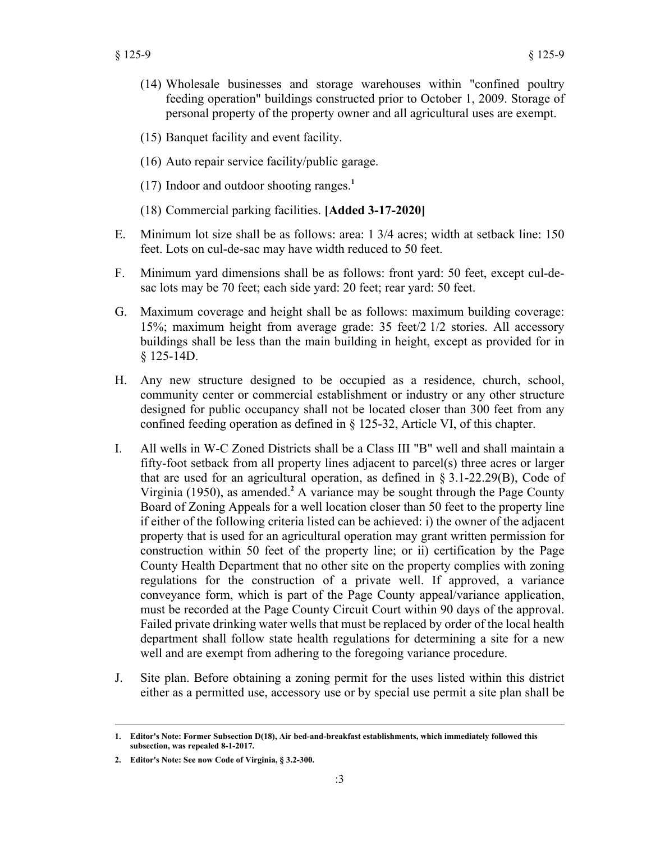- (14) Wholesale businesses and storage warehouses within "confined poultry feeding operation" buildings constructed prior to October 1, 2009. Storage of personal property of the property owner and all agricultural uses are exempt.
- (15) Banquet facility and event facility.
- (16) Auto repair service facility/public garage.
- (17) Indoor and outdoor shooting ranges.**<sup>1</sup>**
- (18) Commercial parking facilities. **[Added 3-17-2020]**
- E. Minimum lot size shall be as follows: area: 1 3/4 acres; width at setback line: 150 feet. Lots on cul-de-sac may have width reduced to 50 feet.
- F. Minimum yard dimensions shall be as follows: front yard: 50 feet, except cul-desac lots may be 70 feet; each side yard: 20 feet; rear yard: 50 feet.
- G. Maximum coverage and height shall be as follows: maximum building coverage: 15%; maximum height from average grade: 35 feet/2 1/2 stories. All accessory buildings shall be less than the main building in height, except as provided for in § 125-14D.
- H. Any new structure designed to be occupied as a residence, church, school, community center or commercial establishment or industry or any other structure designed for public occupancy shall not be located closer than 300 feet from any confined feeding operation as defined in § 125-32, Article VI, of this chapter.
- I. All wells in W-C Zoned Districts shall be a Class III "B" well and shall maintain a fifty-foot setback from all property lines adjacent to parcel(s) three acres or larger that are used for an agricultural operation, as defined in § 3.1-22.29(B), Code of Virginia (1950), as amended.**<sup>2</sup>** A variance may be sought through the Page County Board of Zoning Appeals for a well location closer than 50 feet to the property line if either of the following criteria listed can be achieved: i) the owner of the adjacent property that is used for an agricultural operation may grant written permission for construction within 50 feet of the property line; or ii) certification by the Page County Health Department that no other site on the property complies with zoning regulations for the construction of a private well. If approved, a variance conveyance form, which is part of the Page County appeal/variance application, must be recorded at the Page County Circuit Court within 90 days of the approval. Failed private drinking water wells that must be replaced by order of the local health department shall follow state health regulations for determining a site for a new well and are exempt from adhering to the foregoing variance procedure.
- J. Site plan. Before obtaining a zoning permit for the uses listed within this district either as a permitted use, accessory use or by special use permit a site plan shall be

**<sup>1.</sup> Editor's Note: Former Subsection D(18), Air bed-and-breakfast establishments, which immediately followed this subsection, was repealed 8-1-2017.**

**<sup>2.</sup> Editor's Note: See now Code of Virginia, § 3.2-300.**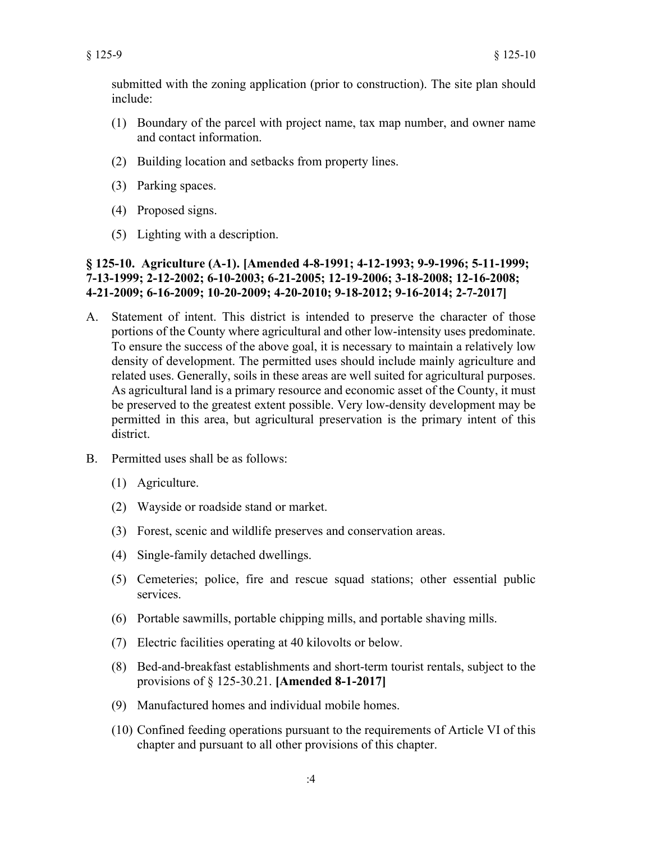submitted with the zoning application (prior to construction). The site plan should include:

- (1) Boundary of the parcel with project name, tax map number, and owner name and contact information.
- (2) Building location and setbacks from property lines.
- (3) Parking spaces.
- (4) Proposed signs.
- (5) Lighting with a description.

## **§ 125-10. Agriculture (A-1). [Amended 4-8-1991; 4-12-1993; 9-9-1996; 5-11-1999; 7-13-1999; 2-12-2002; 6-10-2003; 6-21-2005; 12-19-2006; 3-18-2008; 12-16-2008; 4-21-2009; 6-16-2009; 10-20-2009; 4-20-2010; 9-18-2012; 9-16-2014; 2-7-2017]**

- A. Statement of intent. This district is intended to preserve the character of those portions of the County where agricultural and other low-intensity uses predominate. To ensure the success of the above goal, it is necessary to maintain a relatively low density of development. The permitted uses should include mainly agriculture and related uses. Generally, soils in these areas are well suited for agricultural purposes. As agricultural land is a primary resource and economic asset of the County, it must be preserved to the greatest extent possible. Very low-density development may be permitted in this area, but agricultural preservation is the primary intent of this district.
- B. Permitted uses shall be as follows:
	- (1) Agriculture.
	- (2) Wayside or roadside stand or market.
	- (3) Forest, scenic and wildlife preserves and conservation areas.
	- (4) Single-family detached dwellings.
	- (5) Cemeteries; police, fire and rescue squad stations; other essential public services.
	- (6) Portable sawmills, portable chipping mills, and portable shaving mills.
	- (7) Electric facilities operating at 40 kilovolts or below.
	- (8) Bed-and-breakfast establishments and short-term tourist rentals, subject to the provisions of § 125-30.21. **[Amended 8-1-2017]**
	- (9) Manufactured homes and individual mobile homes.
	- (10) Confined feeding operations pursuant to the requirements of Article VI of this chapter and pursuant to all other provisions of this chapter.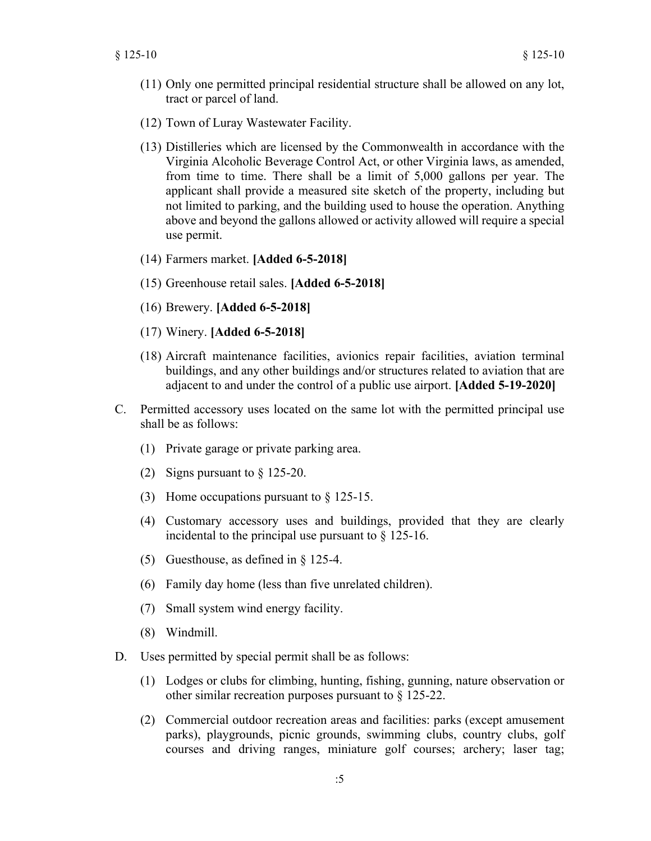- (11) Only one permitted principal residential structure shall be allowed on any lot, tract or parcel of land.
- (12) Town of Luray Wastewater Facility.
- (13) Distilleries which are licensed by the Commonwealth in accordance with the Virginia Alcoholic Beverage Control Act, or other Virginia laws, as amended, from time to time. There shall be a limit of 5,000 gallons per year. The applicant shall provide a measured site sketch of the property, including but not limited to parking, and the building used to house the operation. Anything above and beyond the gallons allowed or activity allowed will require a special use permit.
- (14) Farmers market. **[Added 6-5-2018]**
- (15) Greenhouse retail sales. **[Added 6-5-2018]**
- (16) Brewery. **[Added 6-5-2018]**
- (17) Winery. **[Added 6-5-2018]**
- (18) Aircraft maintenance facilities, avionics repair facilities, aviation terminal buildings, and any other buildings and/or structures related to aviation that are adjacent to and under the control of a public use airport. **[Added 5-19-2020]**
- C. Permitted accessory uses located on the same lot with the permitted principal use shall be as follows:
	- (1) Private garage or private parking area.
	- (2) Signs pursuant to § 125-20.
	- (3) Home occupations pursuant to § 125-15.
	- (4) Customary accessory uses and buildings, provided that they are clearly incidental to the principal use pursuant to § 125-16.
	- (5) Guesthouse, as defined in § 125-4.
	- (6) Family day home (less than five unrelated children).
	- (7) Small system wind energy facility.
	- (8) Windmill.
- D. Uses permitted by special permit shall be as follows:
	- (1) Lodges or clubs for climbing, hunting, fishing, gunning, nature observation or other similar recreation purposes pursuant to § 125-22.
	- (2) Commercial outdoor recreation areas and facilities: parks (except amusement parks), playgrounds, picnic grounds, swimming clubs, country clubs, golf courses and driving ranges, miniature golf courses; archery; laser tag;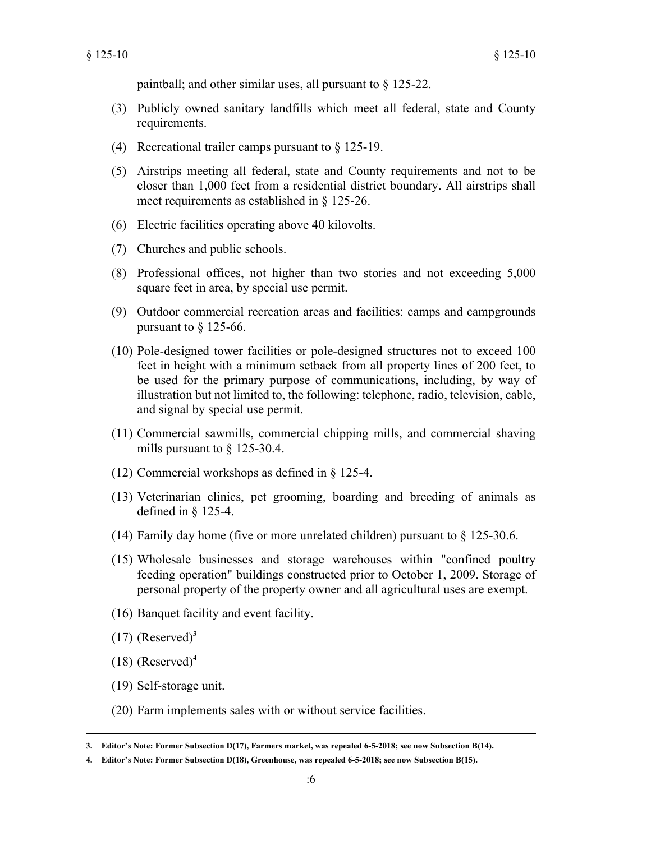paintball; and other similar uses, all pursuant to § 125-22.

- (3) Publicly owned sanitary landfills which meet all federal, state and County requirements.
- (4) Recreational trailer camps pursuant to § 125-19.
- (5) Airstrips meeting all federal, state and County requirements and not to be closer than 1,000 feet from a residential district boundary. All airstrips shall meet requirements as established in § 125-26.
- (6) Electric facilities operating above 40 kilovolts.
- (7) Churches and public schools.
- (8) Professional offices, not higher than two stories and not exceeding 5,000 square feet in area, by special use permit.
- (9) Outdoor commercial recreation areas and facilities: camps and campgrounds pursuant to § 125-66.
- (10) Pole-designed tower facilities or pole-designed structures not to exceed 100 feet in height with a minimum setback from all property lines of 200 feet, to be used for the primary purpose of communications, including, by way of illustration but not limited to, the following: telephone, radio, television, cable, and signal by special use permit.
- (11) Commercial sawmills, commercial chipping mills, and commercial shaving mills pursuant to § 125-30.4.
- (12) Commercial workshops as defined in § 125-4.
- (13) Veterinarian clinics, pet grooming, boarding and breeding of animals as defined in § 125-4.
- (14) Family day home (five or more unrelated children) pursuant to § 125-30.6.
- (15) Wholesale businesses and storage warehouses within "confined poultry feeding operation" buildings constructed prior to October 1, 2009. Storage of personal property of the property owner and all agricultural uses are exempt.
- (16) Banquet facility and event facility.
- $(17)$  (Reserved)<sup>3</sup>
- $(18)$  (Reserved)<sup>4</sup>
- (19) Self-storage unit.
- (20) Farm implements sales with or without service facilities.

**<sup>3.</sup> Editor's Note: Former Subsection D(17), Farmers market, was repealed 6-5-2018; see now Subsection B(14).**

**<sup>4.</sup> Editor's Note: Former Subsection D(18), Greenhouse, was repealed 6-5-2018; see now Subsection B(15).**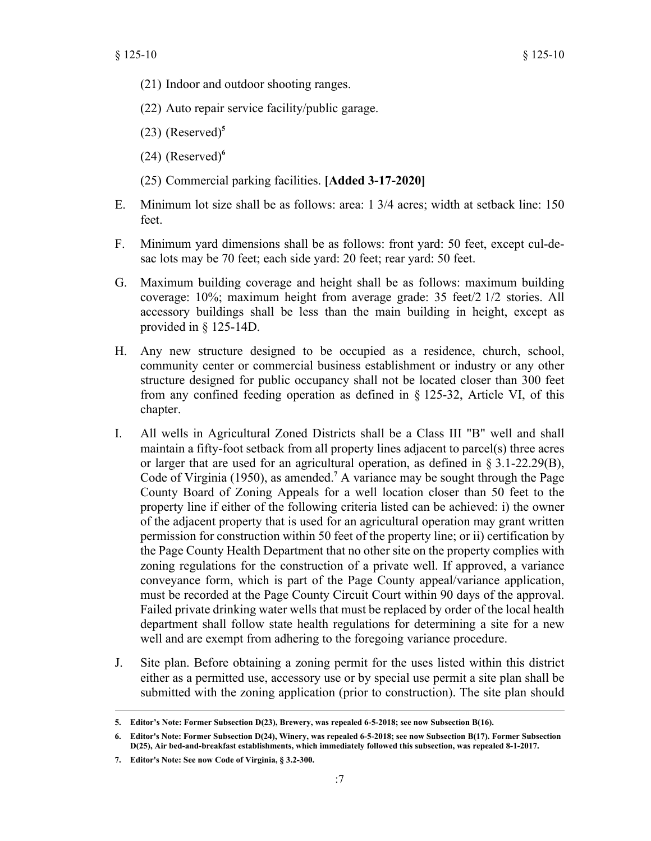- (21) Indoor and outdoor shooting ranges.
- (22) Auto repair service facility/public garage.
- (23) (Reserved)**<sup>5</sup>**
- $(24)$  (Reserved)<sup>6</sup>
- (25) Commercial parking facilities. **[Added 3-17-2020]**
- E. Minimum lot size shall be as follows: area: 1 3/4 acres; width at setback line: 150 feet.
- F. Minimum yard dimensions shall be as follows: front yard: 50 feet, except cul-desac lots may be 70 feet; each side yard: 20 feet; rear yard: 50 feet.
- G. Maximum building coverage and height shall be as follows: maximum building coverage: 10%; maximum height from average grade: 35 feet/2 1/2 stories. All accessory buildings shall be less than the main building in height, except as provided in § 125-14D.
- H. Any new structure designed to be occupied as a residence, church, school, community center or commercial business establishment or industry or any other structure designed for public occupancy shall not be located closer than 300 feet from any confined feeding operation as defined in § 125-32, Article VI, of this chapter.
- I. All wells in Agricultural Zoned Districts shall be a Class III "B" well and shall maintain a fifty-foot setback from all property lines adjacent to parcel(s) three acres or larger that are used for an agricultural operation, as defined in § 3.1-22.29(B), Code of Virginia (1950), as amended.**<sup>7</sup>** A variance may be sought through the Page County Board of Zoning Appeals for a well location closer than 50 feet to the property line if either of the following criteria listed can be achieved: i) the owner of the adjacent property that is used for an agricultural operation may grant written permission for construction within 50 feet of the property line; or ii) certification by the Page County Health Department that no other site on the property complies with zoning regulations for the construction of a private well. If approved, a variance conveyance form, which is part of the Page County appeal/variance application, must be recorded at the Page County Circuit Court within 90 days of the approval. Failed private drinking water wells that must be replaced by order of the local health department shall follow state health regulations for determining a site for a new well and are exempt from adhering to the foregoing variance procedure.
- J. Site plan. Before obtaining a zoning permit for the uses listed within this district either as a permitted use, accessory use or by special use permit a site plan shall be submitted with the zoning application (prior to construction). The site plan should

**<sup>5.</sup> Editor's Note: Former Subsection D(23), Brewery, was repealed 6-5-2018; see now Subsection B(16).**

**<sup>6.</sup> Editor's Note: Former Subsection D(24), Winery, was repealed 6-5-2018; see now Subsection B(17). Former Subsection D(25), Air bed-and-breakfast establishments, which immediately followed this subsection, was repealed 8-1-2017.**

**<sup>7.</sup> Editor's Note: See now Code of Virginia, § 3.2-300.**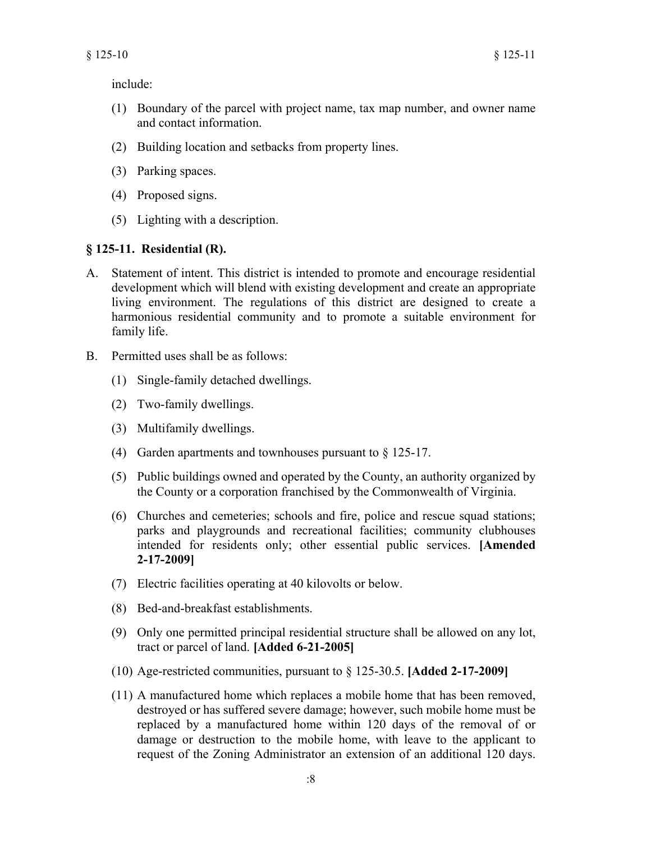include:

- (1) Boundary of the parcel with project name, tax map number, and owner name and contact information.
- (2) Building location and setbacks from property lines.
- (3) Parking spaces.
- (4) Proposed signs.
- (5) Lighting with a description.

## **§ 125-11. Residential (R).**

- A. Statement of intent. This district is intended to promote and encourage residential development which will blend with existing development and create an appropriate living environment. The regulations of this district are designed to create a harmonious residential community and to promote a suitable environment for family life.
- B. Permitted uses shall be as follows:
	- (1) Single-family detached dwellings.
	- (2) Two-family dwellings.
	- (3) Multifamily dwellings.
	- (4) Garden apartments and townhouses pursuant to § 125-17.
	- (5) Public buildings owned and operated by the County, an authority organized by the County or a corporation franchised by the Commonwealth of Virginia.
	- (6) Churches and cemeteries; schools and fire, police and rescue squad stations; parks and playgrounds and recreational facilities; community clubhouses intended for residents only; other essential public services. **[Amended 2-17-2009]**
	- (7) Electric facilities operating at 40 kilovolts or below.
	- (8) Bed-and-breakfast establishments.
	- (9) Only one permitted principal residential structure shall be allowed on any lot, tract or parcel of land. **[Added 6-21-2005]**
	- (10) Age-restricted communities, pursuant to § 125-30.5. **[Added 2-17-2009]**
	- (11) A manufactured home which replaces a mobile home that has been removed, destroyed or has suffered severe damage; however, such mobile home must be replaced by a manufactured home within 120 days of the removal of or damage or destruction to the mobile home, with leave to the applicant to request of the Zoning Administrator an extension of an additional 120 days.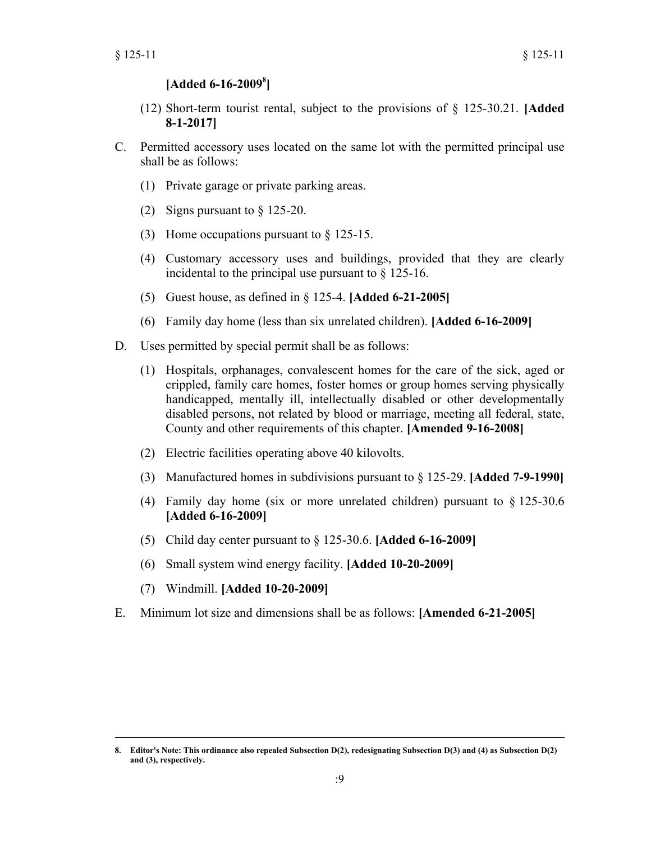## **[Added 6-16-2009<sup>8</sup> ]**

- (12) Short-term tourist rental, subject to the provisions of § 125-30.21. **[Added 8-1-2017]**
- C. Permitted accessory uses located on the same lot with the permitted principal use shall be as follows:
	- (1) Private garage or private parking areas.
	- (2) Signs pursuant to § 125-20.
	- (3) Home occupations pursuant to § 125-15.
	- (4) Customary accessory uses and buildings, provided that they are clearly incidental to the principal use pursuant to § 125-16.
	- (5) Guest house, as defined in § 125-4. **[Added 6-21-2005]**
	- (6) Family day home (less than six unrelated children). **[Added 6-16-2009]**
- D. Uses permitted by special permit shall be as follows:
	- (1) Hospitals, orphanages, convalescent homes for the care of the sick, aged or crippled, family care homes, foster homes or group homes serving physically handicapped, mentally ill, intellectually disabled or other developmentally disabled persons, not related by blood or marriage, meeting all federal, state, County and other requirements of this chapter. **[Amended 9-16-2008]**
	- (2) Electric facilities operating above 40 kilovolts.
	- (3) Manufactured homes in subdivisions pursuant to § 125-29. **[Added 7-9-1990]**
	- (4) Family day home (six or more unrelated children) pursuant to § 125-30.6 **[Added 6-16-2009]**
	- (5) Child day center pursuant to § 125-30.6. **[Added 6-16-2009]**
	- (6) Small system wind energy facility. **[Added 10-20-2009]**
	- (7) Windmill. **[Added 10-20-2009]**
- E. Minimum lot size and dimensions shall be as follows: **[Amended 6-21-2005]**

**<sup>8.</sup> Editor's Note: This ordinance also repealed Subsection D(2), redesignating Subsection D(3) and (4) as Subsection D(2) and (3), respectively.**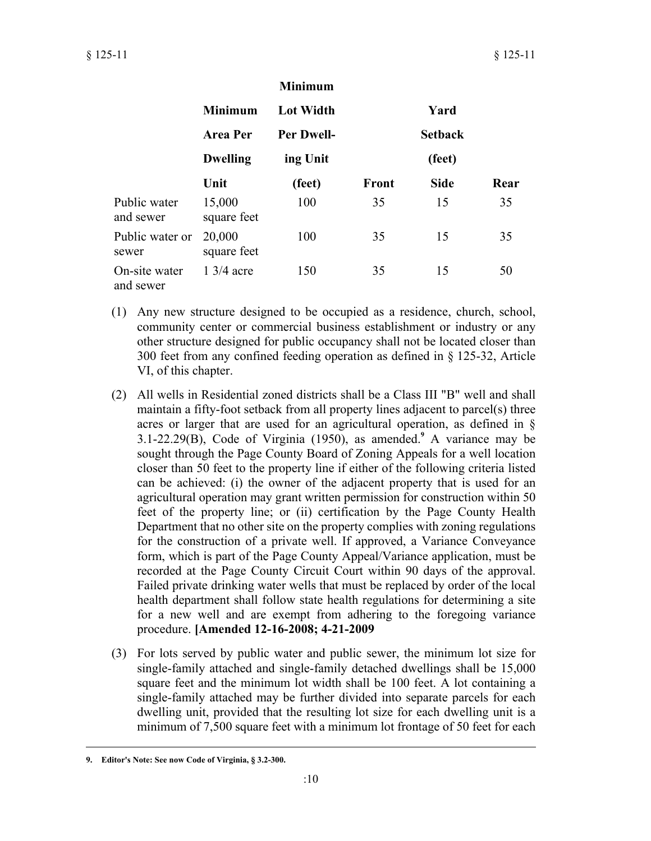|                            |                       | <b>Minimum</b>    |              |                |      |
|----------------------------|-----------------------|-------------------|--------------|----------------|------|
|                            | <b>Minimum</b>        | <b>Lot Width</b>  |              | Yard           |      |
|                            | <b>Area Per</b>       | <b>Per Dwell-</b> |              | <b>Setback</b> |      |
|                            | <b>Dwelling</b>       | ing Unit          |              | (feet)         |      |
|                            | Unit                  | (feet)            | <b>Front</b> | <b>Side</b>    | Rear |
| Public water<br>and sewer  | 15,000<br>square feet | 100               | 35           | 15             | 35   |
| Public water or<br>sewer   | 20,000<br>square feet | 100               | 35           | 15             | 35   |
| On-site water<br>and sewer | $1\frac{3}{4}$ acre   | 150               | 35           | 15             | 50   |

- (1) Any new structure designed to be occupied as a residence, church, school, community center or commercial business establishment or industry or any other structure designed for public occupancy shall not be located closer than 300 feet from any confined feeding operation as defined in § 125-32, Article VI, of this chapter.
- (2) All wells in Residential zoned districts shall be a Class III "B" well and shall maintain a fifty-foot setback from all property lines adjacent to parcel(s) three acres or larger that are used for an agricultural operation, as defined in § 3.1-22.29(B), Code of Virginia (1950), as amended.**<sup>9</sup>** A variance may be sought through the Page County Board of Zoning Appeals for a well location closer than 50 feet to the property line if either of the following criteria listed can be achieved: (i) the owner of the adjacent property that is used for an agricultural operation may grant written permission for construction within 50 feet of the property line; or (ii) certification by the Page County Health Department that no other site on the property complies with zoning regulations for the construction of a private well. If approved, a Variance Conveyance form, which is part of the Page County Appeal/Variance application, must be recorded at the Page County Circuit Court within 90 days of the approval. Failed private drinking water wells that must be replaced by order of the local health department shall follow state health regulations for determining a site for a new well and are exempt from adhering to the foregoing variance procedure. **[Amended 12-16-2008; 4-21-2009**
- (3) For lots served by public water and public sewer, the minimum lot size for single-family attached and single-family detached dwellings shall be 15,000 square feet and the minimum lot width shall be 100 feet. A lot containing a single-family attached may be further divided into separate parcels for each dwelling unit, provided that the resulting lot size for each dwelling unit is a minimum of 7,500 square feet with a minimum lot frontage of 50 feet for each

**<sup>9.</sup> Editor's Note: See now Code of Virginia, § 3.2-300.**